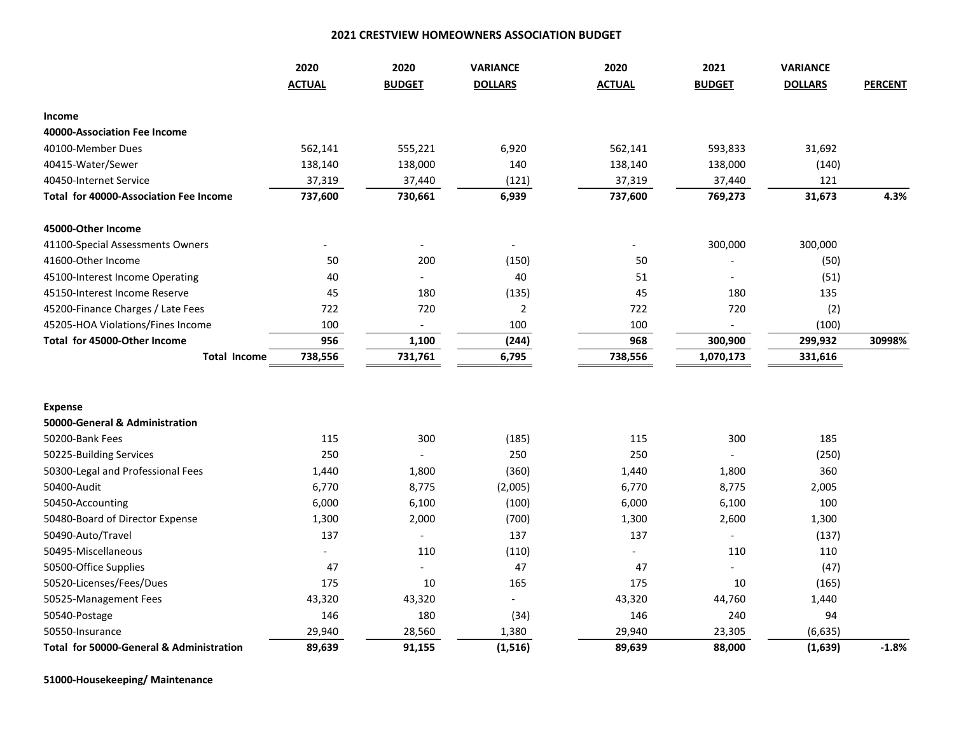## **2021 CRESTVIEW HOMEOWNERS ASSOCIATION BUDGET**

|                                                     | 2020           | 2020<br><b>VARIANCE</b><br>2020 |                          |                          |                | <b>VARIANCE</b> |                |
|-----------------------------------------------------|----------------|---------------------------------|--------------------------|--------------------------|----------------|-----------------|----------------|
|                                                     | <b>ACTUAL</b>  | <b>BUDGET</b>                   | <b>DOLLARS</b>           | <b>ACTUAL</b>            | <b>BUDGET</b>  | <b>DOLLARS</b>  | <b>PERCENT</b> |
| Income                                              |                |                                 |                          |                          |                |                 |                |
| 40000-Association Fee Income                        |                |                                 |                          |                          |                |                 |                |
| 40100-Member Dues                                   | 562,141        | 555,221                         | 6,920                    | 562,141                  | 593,833        | 31,692          |                |
| 40415-Water/Sewer                                   | 138,140        | 138,000                         | 140                      | 138,140                  | 138,000        | (140)           |                |
| 40450-Internet Service                              | 37,319         | 37,440                          | (121)                    | 37,319                   | 37,440         | 121             |                |
| <b>Total for 40000-Association Fee Income</b>       | 737,600        | 730,661                         | 6,939                    | 737,600                  | 769,273        | 31,673          | 4.3%           |
| 45000-Other Income                                  |                |                                 |                          |                          |                |                 |                |
| 41100-Special Assessments Owners                    |                | $\overline{\phantom{a}}$        | $\overline{\phantom{a}}$ |                          | 300,000        | 300,000         |                |
| 41600-Other Income                                  | 50             | 200                             | (150)                    | 50                       |                | (50)            |                |
| 45100-Interest Income Operating                     | 40             |                                 | 40                       | 51                       |                | (51)            |                |
| 45150-Interest Income Reserve                       | 45             | 180                             | (135)                    | 45                       | 180            | 135             |                |
| 45200-Finance Charges / Late Fees                   | 722            | 720                             | $\overline{2}$           | 722                      | 720            | (2)             |                |
| 45205-HOA Violations/Fines Income                   | 100            |                                 | 100                      | 100                      |                | (100)           |                |
| Total for 45000-Other Income                        | 956            | 1,100                           | (244)                    | 968                      | 300,900        | 299,932         | 30998%         |
| <b>Total Income</b>                                 | 738,556        | 731,761                         | 6,795                    | 738,556                  | 1,070,173      | 331,616         |                |
|                                                     |                |                                 |                          |                          |                |                 |                |
|                                                     |                |                                 |                          |                          |                |                 |                |
| <b>Expense</b>                                      |                |                                 |                          |                          |                |                 |                |
| 50000-General & Administration                      |                |                                 |                          |                          |                |                 |                |
| 50200-Bank Fees                                     | 115            | 300                             | (185)                    | 115                      | 300            | 185             |                |
| 50225-Building Services                             | 250            |                                 | 250                      | 250                      |                | (250)           |                |
| 50300-Legal and Professional Fees                   | 1,440          | 1,800                           | (360)                    | 1,440                    | 1,800          | 360             |                |
| 50400-Audit                                         | 6,770          | 8,775                           | (2,005)                  | 6,770                    | 8,775          | 2,005           |                |
| 50450-Accounting                                    | 6,000          | 6,100                           | (100)                    | 6,000                    | 6,100          | 100             |                |
| 50480-Board of Director Expense                     | 1,300          | 2,000                           | (700)                    | 1,300                    | 2,600          | 1,300           |                |
| 50490-Auto/Travel                                   | 137            | $\mathbb{Z}^{\mathbb{Z}}$       | 137                      | 137                      | $\overline{a}$ | (137)           |                |
| 50495-Miscellaneous                                 | $\blacksquare$ | 110                             | (110)                    | $\overline{\phantom{a}}$ | 110            | 110             |                |
| 50500-Office Supplies                               | 47             |                                 | 47                       | 47                       |                | (47)            |                |
| 50520-Licenses/Fees/Dues                            | 175            | 10                              | 165                      | 175                      | 10             | (165)           |                |
| 50525-Management Fees                               | 43,320         | 43,320                          | $\overline{\phantom{a}}$ | 43,320                   | 44,760         | 1,440           |                |
| 50540-Postage                                       | 146            | 180                             | (34)                     | 146                      | 240            | 94              |                |
| 50550-Insurance                                     | 29,940         | 28,560                          | 1,380                    | 29,940                   | 23,305         | (6, 635)        |                |
| <b>Total for 50000-General &amp; Administration</b> | 89,639         | 91,155                          | (1, 516)                 | 89,639                   | 88,000         | (1,639)         | $-1.8%$        |

**51000-Housekeeping/ Maintenance**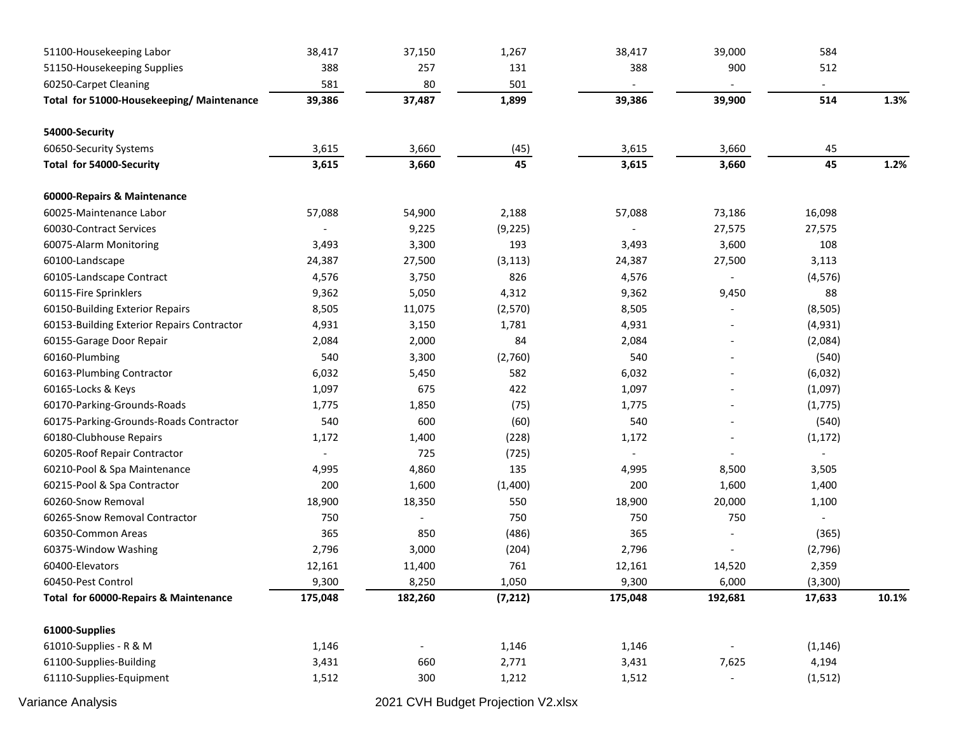| 51100-Housekeeping Labor                   | 38,417                   | 37,150                   | 1,267    | 38,417                   | 39,000                   | 584                      |       |
|--------------------------------------------|--------------------------|--------------------------|----------|--------------------------|--------------------------|--------------------------|-------|
| 51150-Housekeeping Supplies                | 388                      | 257                      | 131      | 388                      | 900                      | 512                      |       |
| 60250-Carpet Cleaning                      | 581                      | 80                       | 501      |                          |                          |                          |       |
| Total for 51000-Housekeeping/ Maintenance  | 39,386                   | 37,487                   | 1,899    | 39,386                   | 39,900                   | 514                      | 1.3%  |
| 54000-Security                             |                          |                          |          |                          |                          |                          |       |
| 60650-Security Systems                     | 3,615                    | 3,660                    | (45)     | 3,615                    | 3,660                    | 45                       |       |
| Total for 54000-Security                   | 3,615                    | 3,660                    | 45       | 3,615                    | 3,660                    | 45                       | 1.2%  |
| 60000-Repairs & Maintenance                |                          |                          |          |                          |                          |                          |       |
| 60025-Maintenance Labor                    | 57,088                   | 54,900                   | 2,188    | 57,088                   | 73,186                   | 16,098                   |       |
| 60030-Contract Services                    |                          | 9,225                    | (9, 225) |                          | 27,575                   | 27,575                   |       |
| 60075-Alarm Monitoring                     | 3,493                    | 3,300                    | 193      | 3,493                    | 3,600                    | 108                      |       |
| 60100-Landscape                            | 24,387                   | 27,500                   | (3, 113) | 24,387                   | 27,500                   | 3,113                    |       |
| 60105-Landscape Contract                   | 4,576                    | 3,750                    | 826      | 4,576                    | $\overline{\phantom{a}}$ | (4, 576)                 |       |
| 60115-Fire Sprinklers                      | 9,362                    | 5,050                    | 4,312    | 9,362                    | 9,450                    | 88                       |       |
| 60150-Building Exterior Repairs            | 8,505                    | 11,075                   | (2,570)  | 8,505                    |                          | (8, 505)                 |       |
| 60153-Building Exterior Repairs Contractor | 4,931                    | 3,150                    | 1,781    | 4,931                    |                          | (4,931)                  |       |
| 60155-Garage Door Repair                   | 2,084                    | 2,000                    | 84       | 2,084                    |                          | (2,084)                  |       |
| 60160-Plumbing                             | 540                      | 3,300                    | (2,760)  | 540                      |                          | (540)                    |       |
| 60163-Plumbing Contractor                  | 6,032                    | 5,450                    | 582      | 6,032                    |                          | (6,032)                  |       |
| 60165-Locks & Keys                         | 1,097                    | 675                      | 422      | 1,097                    | $\overline{\phantom{a}}$ | (1,097)                  |       |
| 60170-Parking-Grounds-Roads                | 1,775                    | 1,850                    | (75)     | 1,775                    |                          | (1, 775)                 |       |
| 60175-Parking-Grounds-Roads Contractor     | 540                      | 600                      | (60)     | 540                      | $\overline{\phantom{a}}$ | (540)                    |       |
| 60180-Clubhouse Repairs                    | 1,172                    | 1,400                    | (228)    | 1,172                    |                          | (1, 172)                 |       |
| 60205-Roof Repair Contractor               | $\overline{\phantom{a}}$ | 725                      | (725)    | $\overline{\phantom{a}}$ |                          | $\overline{\phantom{a}}$ |       |
| 60210-Pool & Spa Maintenance               | 4,995                    | 4,860                    | 135      | 4,995                    | 8,500                    | 3,505                    |       |
| 60215-Pool & Spa Contractor                | 200                      | 1,600                    | (1,400)  | 200                      | 1,600                    | 1,400                    |       |
| 60260-Snow Removal                         | 18,900                   | 18,350                   | 550      | 18,900                   | 20,000                   | 1,100                    |       |
| 60265-Snow Removal Contractor              | 750                      | $\overline{\phantom{a}}$ | 750      | 750                      | 750                      |                          |       |
| 60350-Common Areas                         | 365                      | 850                      | (486)    | 365                      |                          | (365)                    |       |
| 60375-Window Washing                       | 2,796                    | 3,000                    | (204)    | 2,796                    |                          | (2,796)                  |       |
| 60400-Elevators                            | 12,161                   | 11,400                   | 761      | 12,161                   | 14,520                   | 2,359                    |       |
| 60450-Pest Control                         | 9,300                    | 8,250                    | 1,050    | 9,300                    | 6,000                    | (3, 300)                 |       |
| Total for 60000-Repairs & Maintenance      | 175,048                  | 182,260                  | (7, 212) | 175,048                  | 192,681                  | 17,633                   | 10.1% |
| 61000-Supplies                             |                          |                          |          |                          |                          |                          |       |
| 61010-Supplies - R & M                     | 1,146                    |                          | 1,146    | 1,146                    |                          | (1, 146)                 |       |
| 61100-Supplies-Building                    | 3,431                    | 660                      | 2,771    | 3,431                    | 7,625                    | 4,194                    |       |
| 61110-Supplies-Equipment                   | 1,512                    | 300                      | 1,212    | 1,512                    |                          | (1, 512)                 |       |

Variance Analysis 2021 CVH Budget Projection V2.xlsx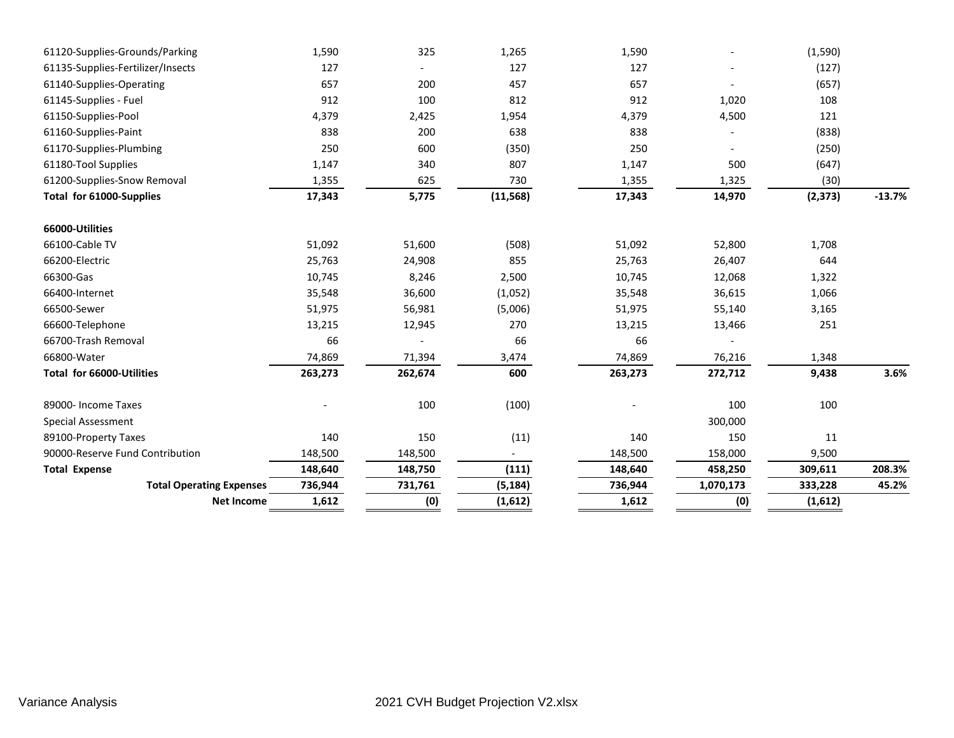| 61120-Supplies-Grounds/Parking    |                   | 1,590   | 325     | 1,265     | 1,590   |                          | (1, 590) |          |
|-----------------------------------|-------------------|---------|---------|-----------|---------|--------------------------|----------|----------|
| 61135-Supplies-Fertilizer/Insects |                   | 127     |         | 127       | 127     |                          | (127)    |          |
| 61140-Supplies-Operating          |                   | 657     | 200     | 457       | 657     |                          | (657)    |          |
| 61145-Supplies - Fuel             |                   | 912     | 100     | 812       | 912     | 1,020                    | 108      |          |
| 61150-Supplies-Pool               |                   | 4,379   | 2,425   | 1,954     | 4,379   | 4,500                    | 121      |          |
| 61160-Supplies-Paint              |                   | 838     | 200     | 638       | 838     |                          | (838)    |          |
| 61170-Supplies-Plumbing           |                   | 250     | 600     | (350)     | 250     | $\overline{\phantom{0}}$ | (250)    |          |
| 61180-Tool Supplies               |                   | 1,147   | 340     | 807       | 1,147   | 500                      | (647)    |          |
| 61200-Supplies-Snow Removal       |                   | 1,355   | 625     | 730       | 1,355   | 1,325                    | (30)     |          |
| Total for 61000-Supplies          |                   | 17,343  | 5,775   | (11, 568) | 17,343  | 14,970                   | (2, 373) | $-13.7%$ |
| 66000-Utilities                   |                   |         |         |           |         |                          |          |          |
| 66100-Cable TV                    |                   | 51,092  | 51,600  | (508)     | 51,092  | 52,800                   | 1,708    |          |
| 66200-Electric                    |                   | 25,763  | 24,908  | 855       | 25,763  | 26,407                   | 644      |          |
| 66300-Gas                         |                   | 10,745  | 8,246   | 2,500     | 10,745  | 12,068                   | 1,322    |          |
| 66400-Internet                    |                   | 35,548  | 36,600  | (1,052)   | 35,548  | 36,615                   | 1,066    |          |
| 66500-Sewer                       |                   | 51,975  | 56,981  | (5,006)   | 51,975  | 55,140                   | 3,165    |          |
| 66600-Telephone                   |                   | 13,215  | 12,945  | 270       | 13,215  | 13,466                   | 251      |          |
| 66700-Trash Removal               |                   | 66      |         | 66        | 66      |                          |          |          |
| 66800-Water                       |                   | 74,869  | 71,394  | 3,474     | 74,869  | 76,216                   | 1,348    |          |
| Total for 66000-Utilities         |                   | 263,273 | 262,674 | 600       | 263,273 | 272,712                  | 9,438    | 3.6%     |
| 89000- Income Taxes               |                   |         | 100     | (100)     |         | 100                      | 100      |          |
| <b>Special Assessment</b>         |                   |         |         |           |         | 300,000                  |          |          |
| 89100-Property Taxes              |                   | 140     | 150     | (11)      | 140     | 150                      | 11       |          |
| 90000-Reserve Fund Contribution   |                   | 148,500 | 148,500 |           | 148,500 | 158,000                  | 9,500    |          |
| <b>Total Expense</b>              |                   | 148,640 | 148,750 | (111)     | 148,640 | 458,250                  | 309,611  | 208.3%   |
| <b>Total Operating Expenses</b>   |                   | 736,944 | 731,761 | (5, 184)  | 736,944 | 1,070,173                | 333,228  | 45.2%    |
|                                   | <b>Net Income</b> | 1,612   | (0)     | (1,612)   | 1,612   | (0)                      | (1,612)  |          |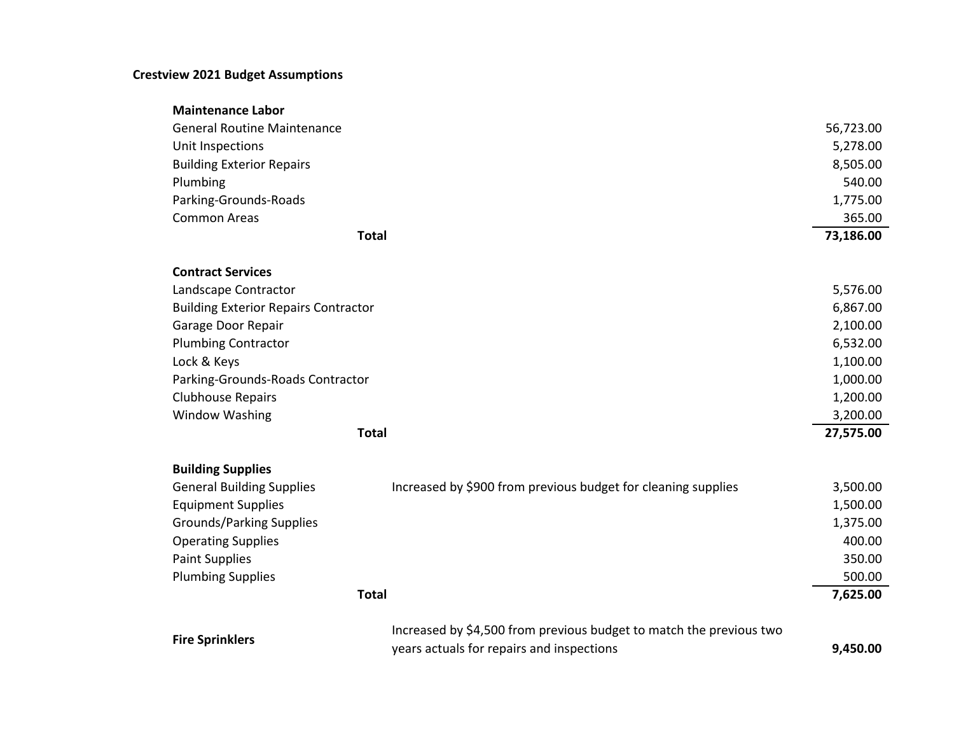## **Crestview 2021 Budget Assumptions**

| <b>Maintenance Labor</b>                    |                                                                     |           |
|---------------------------------------------|---------------------------------------------------------------------|-----------|
| <b>General Routine Maintenance</b>          |                                                                     | 56,723.00 |
| Unit Inspections                            |                                                                     | 5,278.00  |
| <b>Building Exterior Repairs</b>            |                                                                     | 8,505.00  |
| Plumbing                                    |                                                                     | 540.00    |
| Parking-Grounds-Roads                       |                                                                     | 1,775.00  |
| <b>Common Areas</b>                         |                                                                     | 365.00    |
| <b>Total</b>                                |                                                                     | 73,186.00 |
| <b>Contract Services</b>                    |                                                                     |           |
| Landscape Contractor                        |                                                                     | 5,576.00  |
| <b>Building Exterior Repairs Contractor</b> |                                                                     | 6,867.00  |
| Garage Door Repair                          |                                                                     | 2,100.00  |
| <b>Plumbing Contractor</b>                  |                                                                     | 6,532.00  |
| Lock & Keys                                 |                                                                     | 1,100.00  |
| Parking-Grounds-Roads Contractor            |                                                                     | 1,000.00  |
| <b>Clubhouse Repairs</b>                    |                                                                     | 1,200.00  |
| <b>Window Washing</b>                       |                                                                     | 3,200.00  |
| <b>Total</b>                                |                                                                     | 27,575.00 |
| <b>Building Supplies</b>                    |                                                                     |           |
| <b>General Building Supplies</b>            | Increased by \$900 from previous budget for cleaning supplies       | 3,500.00  |
| <b>Equipment Supplies</b>                   |                                                                     | 1,500.00  |
| <b>Grounds/Parking Supplies</b>             |                                                                     | 1,375.00  |
| <b>Operating Supplies</b>                   |                                                                     | 400.00    |
| <b>Paint Supplies</b>                       |                                                                     | 350.00    |
| <b>Plumbing Supplies</b>                    |                                                                     | 500.00    |
| <b>Total</b>                                |                                                                     | 7,625.00  |
| <b>Fire Sprinklers</b>                      | Increased by \$4,500 from previous budget to match the previous two |           |
|                                             | years actuals for repairs and inspections                           | 9,450.00  |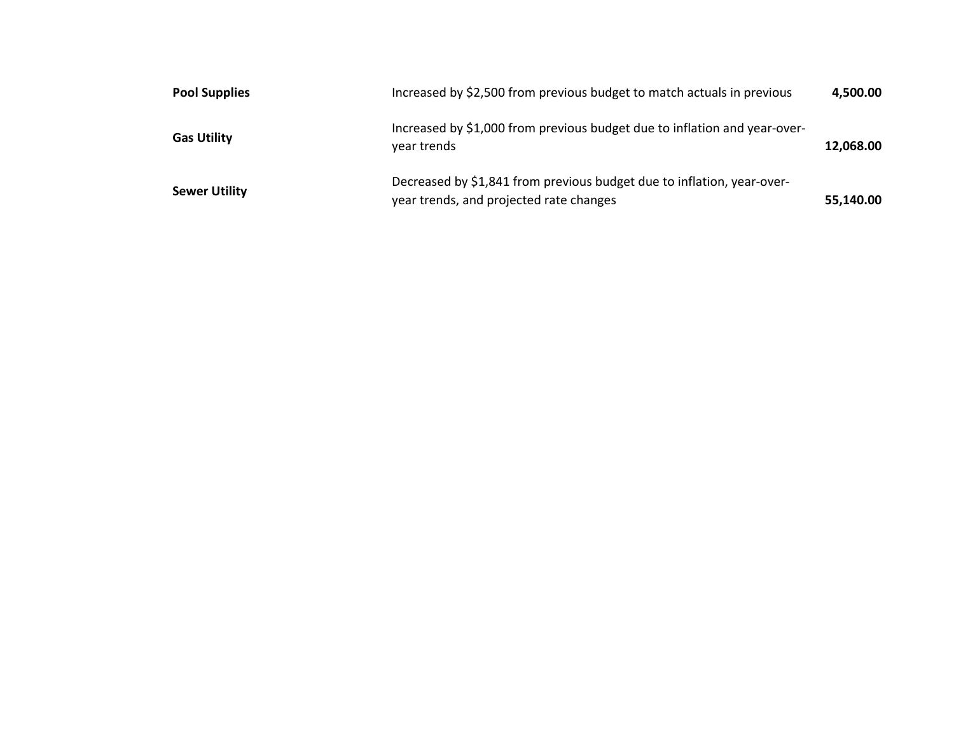| <b>Pool Supplies</b> | Increased by \$2,500 from previous budget to match actuals in previous                                            | 4,500.00  |
|----------------------|-------------------------------------------------------------------------------------------------------------------|-----------|
| <b>Gas Utility</b>   | Increased by \$1,000 from previous budget due to inflation and year-over-<br>year trends                          | 12,068.00 |
| <b>Sewer Utility</b> | Decreased by \$1,841 from previous budget due to inflation, year-over-<br>year trends, and projected rate changes | 55,140.00 |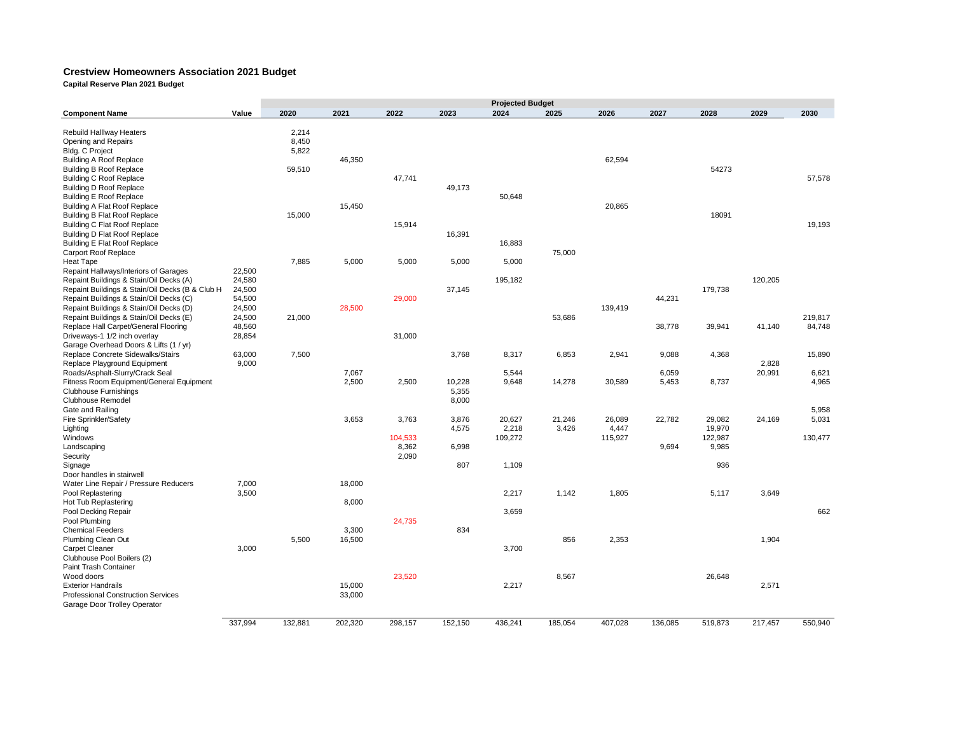## **Crestview Homeowners Association 2021 Budget**

**Capital Reserve Plan 2021 Budget**

|                                                 |         |         |         |         |         | <b>Projected Budget</b> |         |         |         |         |         |         |
|-------------------------------------------------|---------|---------|---------|---------|---------|-------------------------|---------|---------|---------|---------|---------|---------|
| <b>Component Name</b>                           | Value   | 2020    | 2021    | 2022    | 2023    | 2024                    | 2025    | 2026    | 2027    | 2028    | 2029    | 2030    |
|                                                 |         | 2,214   |         |         |         |                         |         |         |         |         |         |         |
| Rebuild Halllway Heaters                        |         | 8,450   |         |         |         |                         |         |         |         |         |         |         |
| Opening and Repairs                             |         |         |         |         |         |                         |         |         |         |         |         |         |
| Bldg. C Project                                 |         | 5,822   | 46,350  |         |         |                         |         | 62,594  |         |         |         |         |
| <b>Building A Roof Replace</b>                  |         |         |         |         |         |                         |         |         |         |         |         |         |
| <b>Building B Roof Replace</b>                  |         | 59,510  |         |         |         |                         |         |         |         | 54273   |         |         |
| <b>Building C Roof Replace</b>                  |         |         |         | 47,741  |         |                         |         |         |         |         |         | 57,578  |
| <b>Building D Roof Replace</b>                  |         |         |         |         | 49,173  |                         |         |         |         |         |         |         |
| <b>Building E Roof Replace</b>                  |         |         |         |         |         | 50,648                  |         |         |         |         |         |         |
| <b>Building A Flat Roof Replace</b>             |         |         | 15,450  |         |         |                         |         | 20,865  |         |         |         |         |
| <b>Building B Flat Roof Replace</b>             |         | 15,000  |         |         |         |                         |         |         |         | 18091   |         |         |
| <b>Building C Flat Roof Replace</b>             |         |         |         | 15,914  |         |                         |         |         |         |         |         | 19,193  |
| <b>Building D Flat Roof Replace</b>             |         |         |         |         | 16,391  |                         |         |         |         |         |         |         |
| <b>Building E Flat Roof Replace</b>             |         |         |         |         |         | 16,883                  |         |         |         |         |         |         |
| <b>Carport Roof Replace</b>                     |         |         |         |         |         |                         | 75,000  |         |         |         |         |         |
| <b>Heat Tape</b>                                |         | 7,885   | 5,000   | 5,000   | 5,000   | 5,000                   |         |         |         |         |         |         |
| Repaint Hallways/Interiors of Garages           | 22,500  |         |         |         |         |                         |         |         |         |         |         |         |
| Repaint Buildings & Stain/Oil Decks (A)         | 24,580  |         |         |         |         | 195,182                 |         |         |         |         | 120,205 |         |
| Repaint Buildings & Stain/Oil Decks (B & Club H | 24,500  |         |         |         | 37,145  |                         |         |         |         | 179,738 |         |         |
| Repaint Buildings & Stain/Oil Decks (C)         | 54,500  |         |         | 29,000  |         |                         |         |         | 44,231  |         |         |         |
| Repaint Buildings & Stain/Oil Decks (D)         | 24,500  |         | 28,500  |         |         |                         |         | 139,419 |         |         |         |         |
| Repaint Buildings & Stain/Oil Decks (E)         | 24,500  | 21,000  |         |         |         |                         | 53,686  |         |         |         |         | 219,817 |
| Replace Hall Carpet/General Flooring            | 48,560  |         |         |         |         |                         |         |         | 38,778  | 39,941  | 41,140  | 84,748  |
| Driveways-1 1/2 inch overlay                    | 28,854  |         |         | 31,000  |         |                         |         |         |         |         |         |         |
| Garage Overhead Doors & Lifts (1 / yr)          |         |         |         |         |         |                         |         |         |         |         |         |         |
| Replace Concrete Sidewalks/Stairs               | 63,000  | 7,500   |         |         | 3,768   | 8,317                   | 6,853   | 2,941   | 9,088   | 4,368   |         | 15,890  |
| Replace Playground Equipment                    | 9,000   |         |         |         |         |                         |         |         |         |         | 2,828   |         |
| Roads/Asphalt-Slurry/Crack Seal                 |         |         | 7,067   |         |         | 5,544                   |         |         | 6,059   |         | 20,991  | 6,621   |
| Fitness Room Equipment/General Equipment        |         |         | 2,500   | 2,500   | 10,228  | 9,648                   | 14,278  | 30,589  | 5,453   | 8,737   |         | 4,965   |
| <b>Clubhouse Furnishings</b>                    |         |         |         |         | 5,355   |                         |         |         |         |         |         |         |
| Clubhouse Remodel                               |         |         |         |         | 8,000   |                         |         |         |         |         |         |         |
| Gate and Railing                                |         |         |         |         |         |                         |         |         |         |         |         | 5,958   |
| Fire Sprinkler/Safety                           |         |         | 3,653   | 3,763   | 3,876   | 20,627                  | 21,246  | 26,089  | 22,782  | 29,082  | 24,169  | 5,031   |
| Lighting                                        |         |         |         |         | 4,575   | 2,218                   | 3,426   | 4,447   |         | 19,970  |         |         |
| Windows                                         |         |         |         | 104,533 |         | 109,272                 |         | 115,927 |         | 122,987 |         | 130,477 |
| Landscaping                                     |         |         |         | 8,362   | 6,998   |                         |         |         | 9,694   | 9,985   |         |         |
| Security                                        |         |         |         | 2,090   |         |                         |         |         |         |         |         |         |
| Signage                                         |         |         |         |         | 807     | 1,109                   |         |         |         | 936     |         |         |
| Door handles in stairwell                       |         |         |         |         |         |                         |         |         |         |         |         |         |
| Water Line Repair / Pressure Reducers           | 7,000   |         | 18,000  |         |         |                         |         |         |         |         |         |         |
| Pool Replastering                               | 3,500   |         |         |         |         | 2,217                   | 1,142   | 1,805   |         | 5,117   | 3,649   |         |
| Hot Tub Replastering                            |         |         | 8,000   |         |         |                         |         |         |         |         |         |         |
| Pool Decking Repair                             |         |         |         |         |         | 3,659                   |         |         |         |         |         | 662     |
| Pool Plumbing                                   |         |         |         | 24,735  |         |                         |         |         |         |         |         |         |
| <b>Chemical Feeders</b>                         |         |         | 3,300   |         | 834     |                         |         |         |         |         |         |         |
| Plumbing Clean Out                              |         | 5,500   | 16,500  |         |         |                         | 856     | 2,353   |         |         | 1,904   |         |
| Carpet Cleaner                                  | 3,000   |         |         |         |         | 3,700                   |         |         |         |         |         |         |
| Clubhouse Pool Boilers (2)                      |         |         |         |         |         |                         |         |         |         |         |         |         |
|                                                 |         |         |         |         |         |                         |         |         |         |         |         |         |
| Paint Trash Container                           |         |         |         |         |         |                         |         |         |         |         |         |         |
| Wood doors                                      |         |         |         | 23,520  |         |                         | 8,567   |         |         | 26,648  |         |         |
| <b>Exterior Handrails</b>                       |         |         | 15,000  |         |         | 2,217                   |         |         |         |         | 2,571   |         |
| <b>Professional Construction Services</b>       |         |         | 33,000  |         |         |                         |         |         |         |         |         |         |
| Garage Door Trolley Operator                    |         |         |         |         |         |                         |         |         |         |         |         |         |
|                                                 |         |         |         |         |         |                         |         |         |         |         |         |         |
|                                                 | 337,994 | 132,881 | 202,320 | 298,157 | 152,150 | 436,241                 | 185,054 | 407,028 | 136,085 | 519,873 | 217,457 | 550,940 |